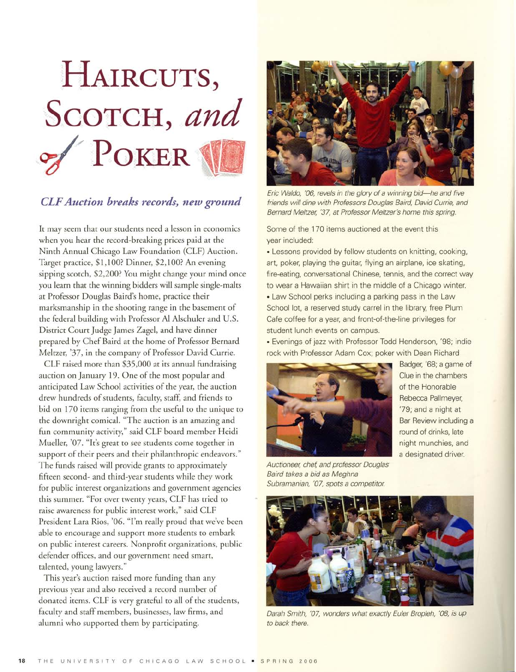

## CLF Auction breaks records, new ground

It may seem that our students need <sup>a</sup> lesson in economics when you hear the record-breaking prices paid at the Ninth Annual Chicago Law Foundation (CLF) Auction. Target practice, \$1,100? Dinner, \$2,100? An evening sipping scotch, \$2,200? You might change your mind once you learn that the winning bidders will sample single-malts at Professor Douglas Baird's home, practice their marksmanship in the shooting range in the basement of the federal building with Professor AI Alschuler and U.S. District Court Judge James Zagel, and have dinner prepared by Chef Baird at the home of Professor Bernard Meltzer, '37, in the company of Professor David Currie.

CLF raised more than \$35,000 at its annual fundraising auction on January 19. One of the most popular and anticipated Law School activities of the year, the auction drew hundreds of students, faculty, staff, and friends to bid on <sup>170</sup> items ranging from the useful to the unique to the downright comical. "The auction is an amazing and fun community activity," said CLF board member Heidi Mueller, '07. "It's great to see students come together in support of their peers and their philanthropic endeavors." The funds raised will provide grants to approximately fifteen second- and third-year students while they work for public interest organizations and government agencies this summer. "For over twenty years, CLF has tried to raise awareness for public interest work," said CLF President Lara Rios, '06. "I'm really proud that we've been able to encourage and support more students to embark on public interest careers. Nonprofit organizations, public defender offices, and our government need smart, talented, young lawyers."

This year's auction raised more funding than any previous year and also received <sup>a</sup> record number of donated items. CLF is very grateful to all of the students, faculty and staff members, businesses, law firms, and alumni who supported them by participating.



Eric Waldo, '06, revels in the glory of <sup>a</sup> winning bid-he and five friends will dine with Professors Douglas Baird, David Currie, and Bernard Meltzer, '37, at Professor Meltzer's home this spring.

Some of the 170 items auctioned at the event this year included:

• Lessons provided by fellow students on knitting, cooking, art, poker, playing the guitar, flying an airplane, ice skating, fire-eating, conversational Chinese, tennis, and the correct way to wear <sup>a</sup> Hawaiian shirt in the middle of <sup>a</sup> Chicago winter. • Law School perks including <sup>a</sup> parking pass in the Law School lot, a reserved study carrel in the library, free Plum Cafe coffee for <sup>a</sup> year, and front-of-the-line privileges for student lunch events on campus.

• Evenings of jazz with Professor Todd Henderson, '98; indie rock with Professor Adam Cox; poker with Dean Richard

> Badger, '68; <sup>a</sup> game of Clue in the chambers of the Honorable Rebecca Pallmeyer, '79; and <sup>a</sup> night at Bar Review including <sup>a</sup> round of drinks, late night munchies, and <sup>a</sup> designated driver.



Auctioneer, chef, and professor Douglas Baird takes <sup>a</sup> bid as Meghna Subramanian, '07, spots a competitor.



Darah Smith, '07, wonders what exactly Euler Bropleh, '08, is up to back there.